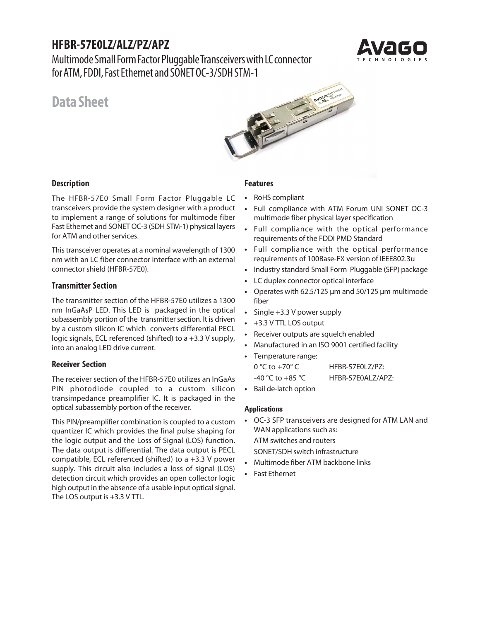# **HFBR-57E0LZ/ALZ/PZ/APZ**

Multimode Small Form Factor Pluggable Transceivers with LC connector for ATM, FDDI, Fast Ethernet and SONET OC-3/SDH STM-1



# **Data Sheet**



# **Description**

The HFBR-57E0 Small Form Factor Pluggable LC transceivers provide the system designer with a product to implement a range of solutions for multimode fiber Fast Ethernet and SONET OC-3 (SDH STM-1) physical layers for ATM and other services.

This transceiver operates at a nominal wavelength of 1300 nm with an LC fiber connector interface with an external connector shield (HFBR-57E0).

# **Transmitter Section**

The transmitter section of the HFBR-57E0 utilizes a 1300 nm InGaAsP LED. This LED is packaged in the optical subassembly portion of the transmitter section. It is driven by a custom silicon IC which converts differential PECL logic signals, ECL referenced (shifted) to a +3.3 V supply, into an analog LED drive current.

# **Receiver Section**

The receiver section of the HFBR-57E0 utilizes an InGaAs PIN photodiode coupled to a custom silicon transimpedance preamplifier IC. It is packaged in the optical subassembly portion of the receiver.

This PIN/preamplifier combination is coupled to a custom quantizer IC which provides the final pulse shaping for the logic output and the Loss of Signal (LOS) function. The data output is differential. The data output is PECL compatible, ECL referenced (shifted) to a +3.3 V power supply. This circuit also includes a loss of signal (LOS) detection circuit which provides an open collector logic high output in the absence of a usable input optical signal. The LOS output is +3.3 V TTL.

# **Features**

- **•** RoHS compliant
- **•** Full compliance with ATM Forum UNI SONET OC-3 multimode fiber physical layer specification
- **•** Full compliance with the optical performance requirements of the FDDI PMD Standard
- **•** Full compliance with the optical performance requirements of 100Base-FX version of IEEE802.3u
- **•** Industry standard Small Form Pluggable (SFP) package
- **•** LC duplex connector optical interface
- **•** Operates with 62.5/125 µm and 50/125 µm multimode fiber
- **•** Single +3.3 V power supply
- **•** +3.3 V TTL LOS output
- **•** Receiver outputs are squelch enabled
- **•** Manufactured in an ISO 9001 certified facility
- **•** Temperature range: 0 °C to +70° C HFBR-57E0LZ/PZ: -40 °C to +85 °C HFBR-57E0ALZ/APZ:
- **•** Bail de-latch option

#### **Applications**

- **•** OC-3 SFP transceivers are designed for ATM LAN and WAN applications such as: ATM switches and routers SONET/SDH switch infrastructure
- **•** Multimode fiber ATM backbone links
- **•** Fast Ethernet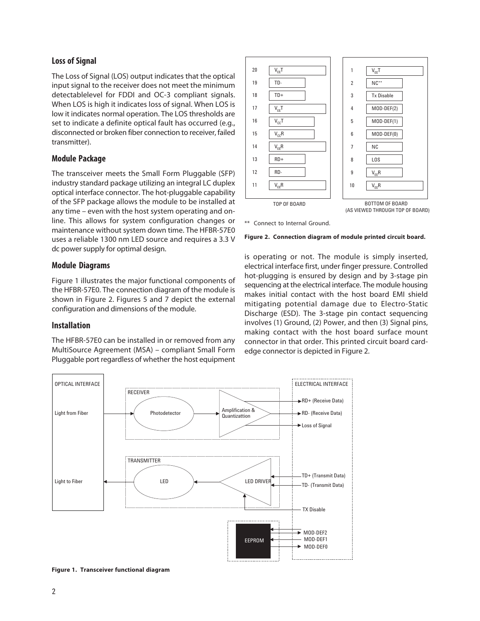### **Loss of Signal**

The Loss of Signal (LOS) output indicates that the optical input signal to the receiver does not meet the minimum detectablelevel for FDDI and OC-3 compliant signals. When LOS is high it indicates loss of signal. When LOS is low it indicates normal operation. The LOS thresholds are set to indicate a definite optical fault has occurred (e.g., disconnected or broken fiber connection to receiver, failed transmitter).

### **Module Package**

The transceiver meets the Small Form Pluggable (SFP) industry standard package utilizing an integral LC duplex optical interface connector. The hot-pluggable capability of the SFP package allows the module to be installed at any time – even with the host system operating and online. This allows for system configuration changes or maintenance without system down time. The HFBR-57E0 uses a reliable 1300 nm LED source and requires a 3.3 V dc power supply for optimal design.

#### **Module Diagrams**

Figure 1 illustrates the major functional components of the HFBR-57E0. The connection diagram of the module is shown in Figure 2. Figures 5 and 7 depict the external configuration and dimensions of the module.

#### **Installation**

The HFBR-57E0 can be installed in or removed from any MultiSource Agreement (MSA) – compliant Small Form Pluggable port regardless of whether the host equipment



\*\* Connect to Internal Ground.



is operating or not. The module is simply inserted, electrical interface first, under finger pressure. Controlled hot-plugging is ensured by design and by 3-stage pin sequencing at the electrical interface. The module housing makes initial contact with the host board EMI shield mitigating potential damage due to Electro-Static Discharge (ESD). The 3-stage pin contact sequencing involves (1) Ground, (2) Power, and then (3) Signal pins, making contact with the host board surface mount connector in that order. This printed circuit board cardedge connector is depicted in Figure 2.



**Figure 1. Transceiver functional diagram**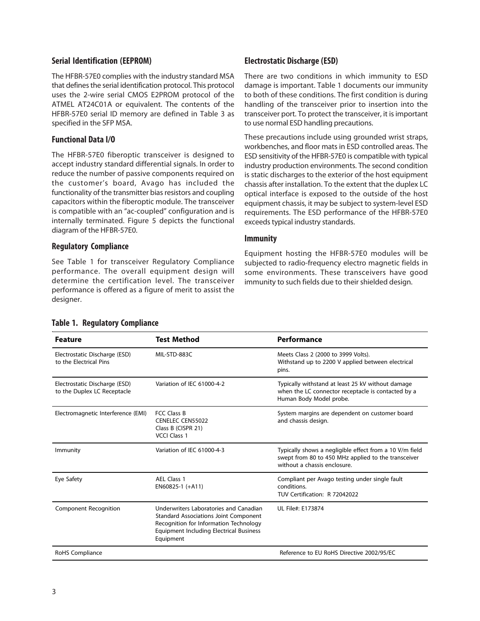## **Serial Identification (EEPROM)**

The HFBR-57E0 complies with the industry standard MSA that defines the serial identification protocol. This protocol uses the 2-wire serial CMOS E2PROM protocol of the ATMEL AT24C01A or equivalent. The contents of the HFBR-57E0 serial ID memory are defined in Table 3 as specified in the SFP MSA.

## **Functional Data I/O**

The HFBR-57E0 fiberoptic transceiver is designed to accept industry standard differential signals. In order to reduce the number of passive components required on the customer's board, Avago has included the functionality of the transmitter bias resistors and coupling capacitors within the fiberoptic module. The transceiver is compatible with an "ac-coupled" configuration and is internally terminated. Figure 5 depicts the functional diagram of the HFBR-57E0.

### **Regulatory Compliance**

See Table 1 for transceiver Regulatory Compliance performance. The overall equipment design will determine the certification level. The transceiver performance is offered as a figure of merit to assist the designer.

# **Electrostatic Discharge (ESD)**

There are two conditions in which immunity to ESD damage is important. Table 1 documents our immunity to both of these conditions. The first condition is during handling of the transceiver prior to insertion into the transceiver port. To protect the transceiver, it is important to use normal ESD handling precautions.

These precautions include using grounded wrist straps, workbenches, and floor mats in ESD controlled areas. The ESD sensitivity of the HFBR-57E0 is compatible with typical industry production environments. The second condition is static discharges to the exterior of the host equipment chassis after installation. To the extent that the duplex LC optical interface is exposed to the outside of the host equipment chassis, it may be subject to system-level ESD requirements. The ESD performance of the HFBR-57E0 exceeds typical industry standards.

### **Immunity**

Equipment hosting the HFBR-57E0 modules will be subjected to radio-frequency electro magnetic fields in some environments. These transceivers have good immunity to such fields due to their shielded design.

| <b>Feature</b>                                               | Test Method                                                                                                                                                                                     | Performance                                                                                                                                    |
|--------------------------------------------------------------|-------------------------------------------------------------------------------------------------------------------------------------------------------------------------------------------------|------------------------------------------------------------------------------------------------------------------------------------------------|
| Electrostatic Discharge (ESD)<br>to the Electrical Pins      | MIL-STD-883C                                                                                                                                                                                    | Meets Class 2 (2000 to 3999 Volts).<br>Withstand up to 2200 V applied between electrical<br>pins.                                              |
| Electrostatic Discharge (ESD)<br>to the Duplex LC Receptacle | Variation of IEC 61000-4-2                                                                                                                                                                      | Typically withstand at least 25 kV without damage<br>when the LC connector receptacle is contacted by a<br>Human Body Model probe.             |
| Electromagnetic Interference (EMI)                           | FCC Class B<br><b>CENELEC CEN55022</b><br>Class B (CISPR 21)<br><b>VCCI Class 1</b>                                                                                                             | System margins are dependent on customer board<br>and chassis design.                                                                          |
| Immunity                                                     | Variation of IEC 61000-4-3                                                                                                                                                                      | Typically shows a negligible effect from a 10 V/m field<br>swept from 80 to 450 MHz applied to the transceiver<br>without a chassis enclosure. |
| Eye Safety                                                   | AEL Class 1<br>$EN60825-1 (+A11)$                                                                                                                                                               | Compliant per Avago testing under single fault<br>conditions.<br>TUV Certification: R 72042022                                                 |
| <b>Component Recognition</b>                                 | Underwriters Laboratories and Canadian<br><b>Standard Associations Joint Component</b><br>Recognition for Information Technology<br><b>Equipment Including Electrical Business</b><br>Equipment | UL File#: E173874                                                                                                                              |
| RoHS Compliance                                              |                                                                                                                                                                                                 | Reference to EU RoHS Directive 2002/95/EC                                                                                                      |

#### **Table 1. Regulatory Compliance**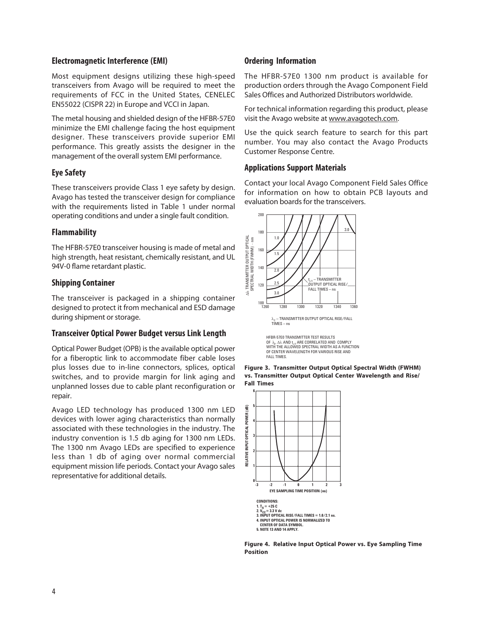### **Electromagnetic Interference (EMI)**

Most equipment designs utilizing these high-speed transceivers from Avago will be required to meet the requirements of FCC in the United States, CENELEC EN55022 (CISPR 22) in Europe and VCCI in Japan.

The metal housing and shielded design of the HFBR-57E0 minimize the EMI challenge facing the host equipment designer. These transceivers provide superior EMI performance. This greatly assists the designer in the management of the overall system EMI performance.

# **Eye Safety**

These transceivers provide Class 1 eye safety by design. Avago has tested the transceiver design for compliance with the requirements listed in Table 1 under normal operating conditions and under a single fault condition.

# **Flammability**

The HFBR-57E0 transceiver housing is made of metal and high strength, heat resistant, chemically resistant, and UL 94V-0 flame retardant plastic.

# **Shipping Container**

The transceiver is packaged in a shipping container designed to protect it from mechanical and ESD damage during shipment or storage.

# **Transceiver Optical Power Budget versus Link Length**

Optical Power Budget (OPB) is the available optical power for a fiberoptic link to accommodate fiber cable loses plus losses due to in-line connectors, splices, optical switches, and to provide margin for link aging and unplanned losses due to cable plant reconfiguration or repair.

Avago LED technology has produced 1300 nm LED devices with lower aging characteristics than normally associated with these technologies in the industry. The industry convention is 1.5 db aging for 1300 nm LEDs. The 1300 nm Avago LEDs are specified to experience less than 1 db of aging over normal commercial equipment mission life periods. Contact your Avago sales representative for additional details.

# **Ordering Information**

The HFBR-57E0 1300 nm product is available for production orders through the Avago Component Field Sales Offices and Authorized Distributors worldwide.

For technical information regarding this product, please visit the Avago website at www.avagotech.com.

Use the quick search feature to search for this part number. You may also contact the Avago Products Customer Response Centre.

# **Applications Support Materials**

Contact your local Avago Component Field Sales Office for information on how to obtain PCB layouts and evaluation boards for the transceivers.



λ<sub>c</sub> – TRANSMITTER OUTPUT OPTICAL RISE/FALL<br>TIMES – ns

HFBR-57E0 TRANSMITTER TEST RESULTS<br>OF λ<sub>c</sub>, ∆λ AND t<sub>r/f</sub> ARE CORRELATED AND COMPLY WITH THE ALLOWED SPECTRAL WIDTH AS A FUNCTION OF CENTER WAVELENGTH FOR VARIOUS RISE AND FALL TIMES.





**Figure 4. Relative Input Optical Power vs. Eye Sampling Time Position**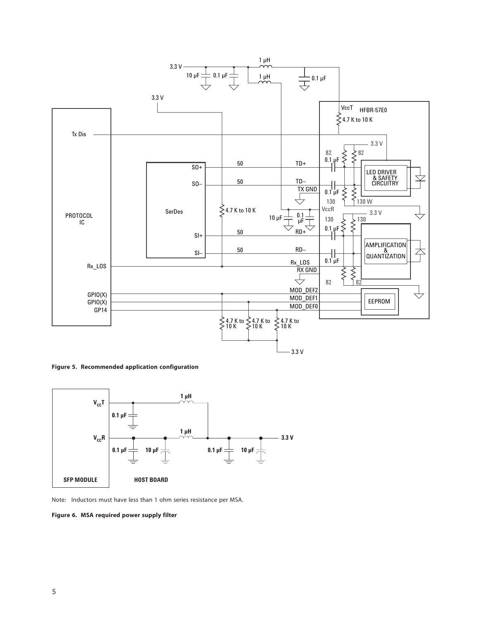

**Figure 5. Recommended application configuration**



Note: Inductors must have less than 1 ohm series resistance per MSA.

**Figure 6. MSA required power supply filter**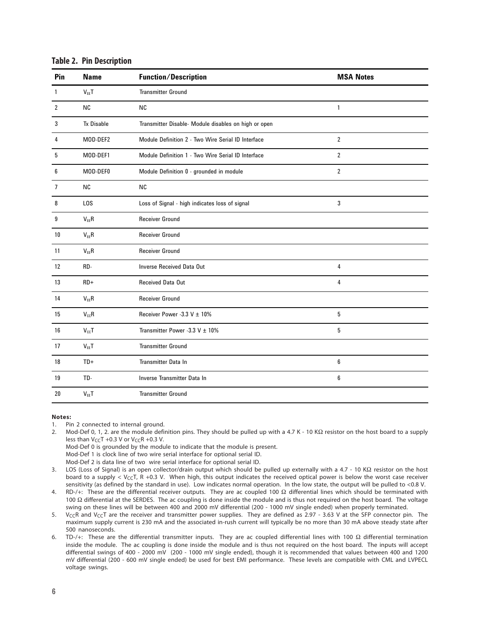| Pin            | <b>Name</b>       | <b>Function/Description</b>                          | <b>MSA Notes</b> |  |
|----------------|-------------------|------------------------------------------------------|------------------|--|
| $\mathbf{1}$   | $V_{EE}T$         | <b>Transmitter Ground</b>                            |                  |  |
| $\overline{2}$ | <b>NC</b>         | <b>NC</b>                                            | $\mathbf{1}$     |  |
| 3              | <b>Tx Disable</b> | Transmitter Disable- Module disables on high or open |                  |  |
| 4              | MOD-DEF2          | Module Definition 2 - Two Wire Serial ID Interface   | $\overline{2}$   |  |
| 5              | MOD-DEF1          | Module Definition 1 - Two Wire Serial ID Interface   | $\overline{2}$   |  |
| 6              | MOD-DEF0          | Module Definition 0 - grounded in module             | $\overline{2}$   |  |
| $\overline{7}$ | <b>NC</b>         | <b>NC</b>                                            |                  |  |
| 8              | LOS               | Loss of Signal - high indicates loss of signal       | 3                |  |
| 9              | $V_{EE}R$         | <b>Receiver Ground</b>                               |                  |  |
| 10             | $V_{EE}R$         | <b>Receiver Ground</b>                               |                  |  |
| 11             | $V_{EE}R$         | <b>Receiver Ground</b>                               |                  |  |
| 12             | RD-               | <b>Inverse Received Data Out</b>                     | 4                |  |
| 13             | $RD+$             | Received Data Out                                    | 4                |  |
| 14             | $V_{EE}R$         | <b>Receiver Ground</b>                               |                  |  |
| 15             | $V_{cc}R$         | Receiver Power -3.3 V ± 10%                          | 5                |  |
| 16             | $V_{cc}T$         | Transmitter Power -3.3 V $\pm$ 10%                   | 5                |  |
| 17             | $V_{EE}T$         | <b>Transmitter Ground</b>                            |                  |  |
| 18             | $TD+$             | Transmitter Data In                                  | 6                |  |
| 19             | TD-               | Inverse Transmitter Data In                          | 6                |  |
| 20             | $V_{EE}T$         | <b>Transmitter Ground</b>                            |                  |  |

#### **Notes:**

1. Pin 2 connected to internal ground.

2. Mod-Def 0, 1, 2. are the module definition pins. They should be pulled up with a 4.7 K - 10 KΩ resistor on the host board to a supply less than  $V_{CC}T$  +0.3 V or  $V_{CC}R$  +0.3 V.

Mod-Def 0 is grounded by the module to indicate that the module is present.

Mod-Def 1 is clock line of two wire serial interface for optional serial ID.

Mod-Def 2 is data line of two wire serial interface for optional serial ID.

3. LOS (Loss of Signal) is an open collector/drain output which should be pulled up externally with a 4.7 - 10 KΩ resistor on the host board to a supply <  $V_{\text{C}}$ T, R +0.3 V. When high, this output indicates the received optical power is below the worst case receiver sensitivity (as defined by the standard in use). Low indicates normal operation. In the low state, the output will be pulled to <0.8 V.

4. RD-/+: These are the differential receiver outputs. They are ac coupled 100 Ω differential lines which should be terminated with 100 Ω differential at the SERDES. The ac coupling is done inside the module and is thus not required on the host board. The voltage swing on these lines will be between 400 and 2000 mV differential (200 - 1000 mV single ended) when properly terminated.

5. V<sub>CC</sub>R and V<sub>CC</sub>T are the receiver and transmitter power supplies. They are defined as 2.97 - 3.63 V at the SFP connector pin. The maximum supply current is 230 mA and the associated in-rush current will typically be no more than 30 mA above steady state after 500 nanoseconds.

6. TD-/+: These are the differential transmitter inputs. They are ac coupled differential lines with 100 Ω differential termination inside the module. The ac coupling is done inside the module and is thus not required on the host board. The inputs will accept differential swings of 400 - 2000 mV (200 - 1000 mV single ended), though it is recommended that values between 400 and 1200 mV differential (200 - 600 mV single ended) be used for best EMI performance. These levels are compatible with CML and LVPECL voltage swings.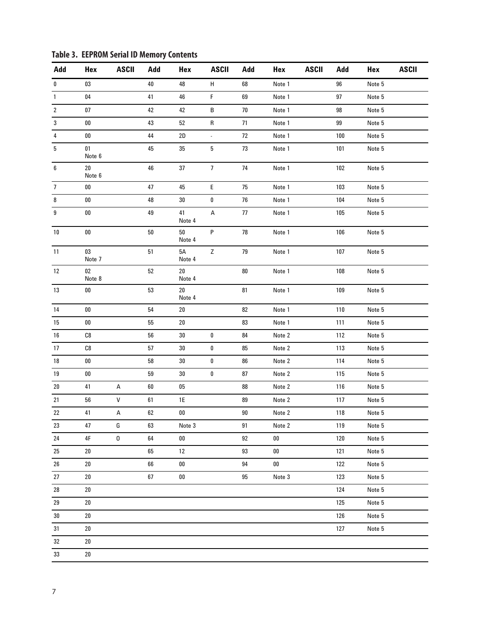| Add            | Hex              | <b>ASCII</b> | Add        | Hex              | <b>ASCII</b>                | Add        | Hex    | <b>ASCII</b> | Add | Hex    | <b>ASCII</b> |
|----------------|------------------|--------------|------------|------------------|-----------------------------|------------|--------|--------------|-----|--------|--------------|
| 0              | 03               |              | 40         | 48               | H                           | 68         | Note 1 |              | 96  | Note 5 |              |
| $\mathbf{1}$   | 04               |              | 41         | 46               | F                           | 69         | Note 1 |              | 97  | Note 5 |              |
| $\overline{2}$ | 07               |              | 42         | 42               | B                           | 70         | Note 1 |              | 98  | Note 5 |              |
| 3              | ${\bf 00}$       |              | 43         | $52\,$           | ${\sf R}$                   | 71         | Note 1 |              | 99  | Note 5 |              |
| 4              | ${\bf 00}$       |              | 44         | $2\mathsf{D}$    | $\mathcal{L}_{\mathcal{A}}$ | $72\,$     | Note 1 |              | 100 | Note 5 |              |
| $\sqrt{5}$     | 01<br>Note 6     |              | 45         | $35\,$           | $\sqrt{5}$                  | 73         | Note 1 |              | 101 | Note 5 |              |
| 6              | $20\,$<br>Note 6 |              | 46         | $37\,$           | $\overline{7}$              | 74         | Note 1 |              | 102 | Note 5 |              |
| $\overline{7}$ | ${\bf 00}$       |              | 47         | 45               | E                           | 75         | Note 1 |              | 103 | Note 5 |              |
| 8              | ${\bf 00}$       |              | 48         | $30\,$           | 0                           | 76         | Note 1 |              | 104 | Note 5 |              |
| 9              | $00\,$           |              | 49         | 41<br>Note 4     | А                           | 77         | Note 1 |              | 105 | Note 5 |              |
| 10             | $00\,$           |              | 50         | 50<br>Note 4     | P                           | 78         | Note 1 |              | 106 | Note 5 |              |
| 11             | 03<br>Note 7     |              | 51         | 5A<br>Note 4     | Z                           | 79         | Note 1 |              | 107 | Note 5 |              |
| 12             | $02\,$<br>Note 8 |              | 52         | $20\,$<br>Note 4 |                             | ${\bf 80}$ | Note 1 |              | 108 | Note 5 |              |
| 13             | ${\bf 00}$       |              | 53         | $20\,$<br>Note 4 |                             | 81         | Note 1 |              | 109 | Note 5 |              |
| 14             | ${\bf 00}$       |              | 54         | $20\,$           |                             | 82         | Note 1 |              | 110 | Note 5 |              |
| 15             | ${\bf 00}$       |              | 55         | $20\,$           |                             | 83         | Note 1 |              | 111 | Note 5 |              |
| $16\,$         | C8               |              | 56         | $30\,$           | $\pmb{0}$                   | 84         | Note 2 |              | 112 | Note 5 |              |
| 17             | C8               |              | 57         | $30\,$           | 0                           | 85         | Note 2 |              | 113 | Note 5 |              |
| 18             | ${\bf 00}$       |              | 58         | $30\,$           | $\pmb{0}$                   | 86         | Note 2 |              | 114 | Note 5 |              |
| $19\,$         | $00\,$           |              | 59         | $30\,$           | 0                           | 87         | Note 2 |              | 115 | Note 5 |              |
| $20\,$         | 41               | А            | ${\bf 60}$ | $05\,$           |                             | 88         | Note 2 |              | 116 | Note 5 |              |
| 21             | 56               | V            | 61         | 1E               |                             | 89         | Note 2 |              | 117 | Note 5 |              |
| $22\,$         | 41               | А            | 62         | 00               |                             | $90\,$     | Note 2 |              | 118 | Note 5 |              |
| 23             | 47               | G            | 63         | Note 3           |                             | 91         | Note 2 |              | 119 | Note 5 |              |
| 24             | 4F               | 0            | 64         | $00\,$           |                             | 92         | 00     |              | 120 | Note 5 |              |
| 25             | 20               |              | 65         | 12               |                             | 93         | 00     |              | 121 | Note 5 |              |
| 26             | 20               |              | 66         | ${\bf 00}$       |                             | 94         | $00\,$ |              | 122 | Note 5 |              |
| 27             | $20\,$           |              | 67         | ${\bf 00}$       |                             | 95         | Note 3 |              | 123 | Note 5 |              |
| 28             | 20               |              |            |                  |                             |            |        |              | 124 | Note 5 |              |
| 29             | $20\,$           |              |            |                  |                             |            |        |              | 125 | Note 5 |              |
| 30             | 20               |              |            |                  |                             |            |        |              | 126 | Note 5 |              |
| 31             | 20               |              |            |                  |                             |            |        |              | 127 | Note 5 |              |
| 32             | $20\,$           |              |            |                  |                             |            |        |              |     |        |              |
| 33             | $20\,$           |              |            |                  |                             |            |        |              |     |        |              |

**Table 3. EEPROM Serial ID Memory Contents**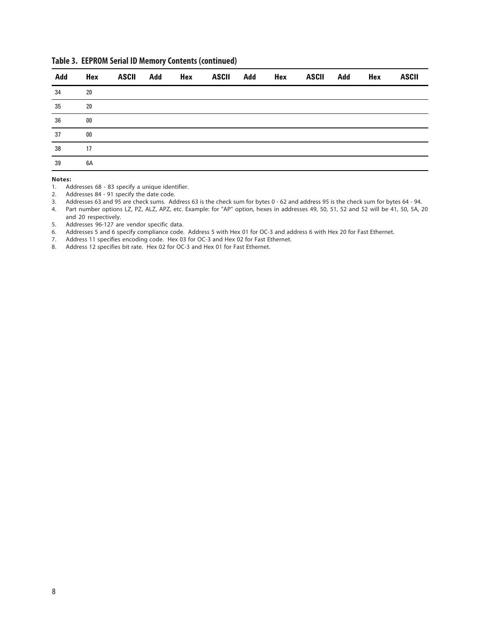| Add                          | Hex                      | ASCII Add | Hex |  | ASCII Add Hex ASCII Add Hex |  | <b>ASCII</b> |
|------------------------------|--------------------------|-----------|-----|--|-----------------------------|--|--------------|
| 34                           | 20                       |           |     |  |                             |  |              |
| $\overline{35}$<br>$\sim$ 20 |                          |           |     |  |                             |  |              |
| $\overline{36}$              | $\overline{\mathbf{00}}$ |           |     |  |                             |  |              |
| 37<br>$\sim$ 00              |                          |           |     |  |                             |  |              |
| 38                           | $\overline{17}$          |           |     |  |                             |  |              |
| 39                           | 6A                       |           |     |  |                             |  |              |

# **Table 3. EEPROM Serial ID Memory Contents (continued)**

#### **Notes:**

1. Addresses 68 - 83 specify a unique identifier.

- 2. Addresses 84 91 specify the date code.
- 3. Addresses 63 and 95 are check sums. Address 63 is the check sum for bytes 0 62 and address 95 is the check sum for bytes 64 94.
- 4. Part number options LZ, PZ, ALZ, APZ, etc. Example: for "AP" option, hexes in addresses 49, 50, 51, 52 and 52 will be 41, 50, 5A, 20 and 20 respectively.
- 5. Addresses 96-127 are vendor specific data.
- 6. Addresses 5 and 6 specify compliance code. Address 5 with Hex 01 for OC-3 and address 6 with Hex 20 for Fast Ethernet.
- 7. Address 11 specifies encoding code. Hex 03 for OC-3 and Hex 02 for Fast Ethernet.
- 8. Address 12 specifies bit rate. Hex 02 for OC-3 and Hex 01 for Fast Ethernet.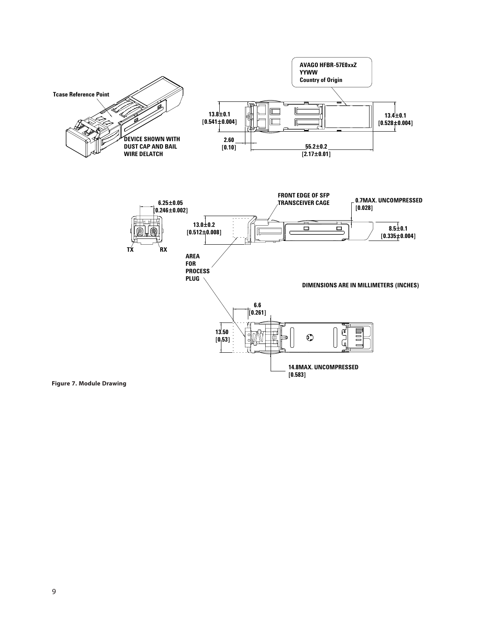

**Figure 7. Module Drawing**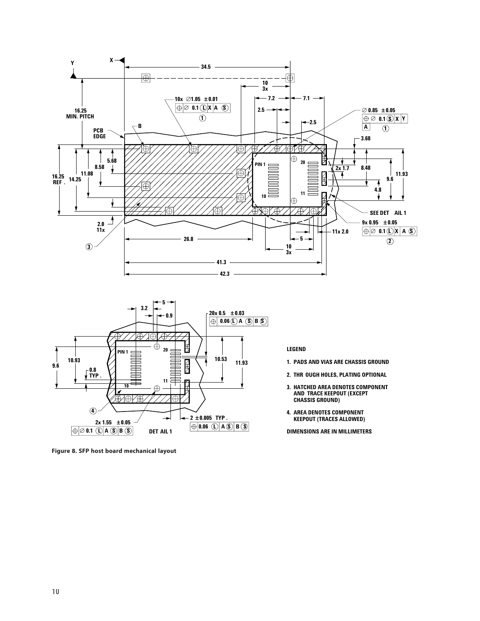



**Figure 8. SFP host board mechanical layout**

#### **LEGEND**

- **1. PADS AND VIAS ARE CHASSIS GROUND**
- **2. THR OUGH HOLES, PLATING OPTIONAL**
- **3. HATCHED AREA DENOTES COMPONENT AND TRACE KEEPOUT (EXCEPT CHASSIS GROUND)**
- **4. AREA DENOTES COMPONENT KEEPOUT (TRACES ALLOWED)**

**DIMENSIONS ARE IN MILLIMETERS**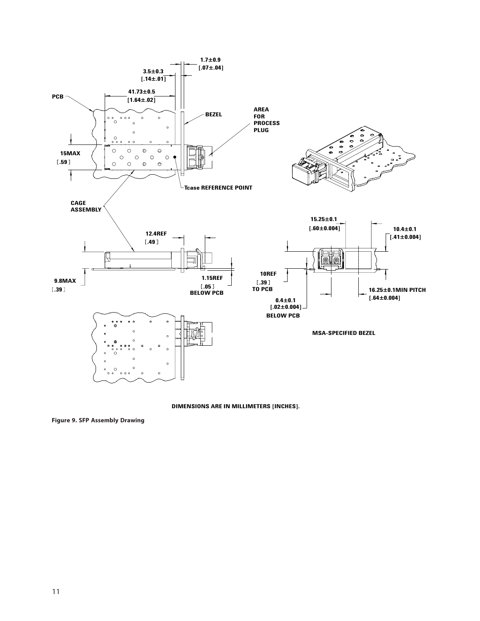

**DIMENSIONS ARE IN MILLIMETERS [INCHES].**

**Figure 9. SFP Assembly Drawing**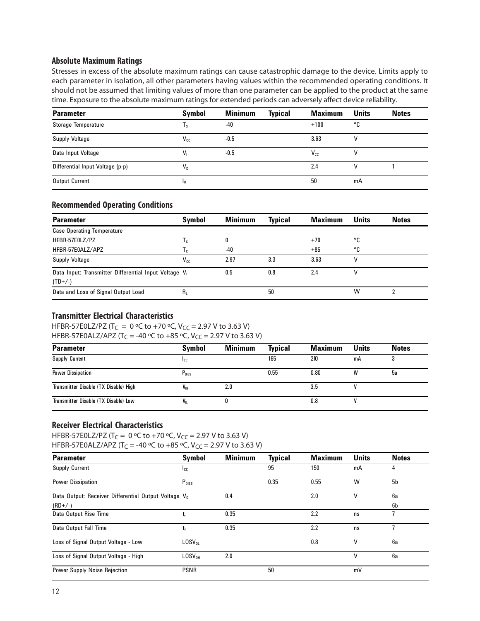# **Absolute Maximum Ratings**

Stresses in excess of the absolute maximum ratings can cause catastrophic damage to the device. Limits apply to each parameter in isolation, all other parameters having values within the recommended operating conditions. It should not be assumed that limiting values of more than one parameter can be applied to the product at the same time. Exposure to the absolute maximum ratings for extended periods can adversely affect device reliability.

| <b>Parameter</b>                 | <b>Symbol</b> | <b>Minimum</b> | <b>Typical</b> | <b>Maximum</b> | <b>Units</b> | <b>Notes</b> |
|----------------------------------|---------------|----------------|----------------|----------------|--------------|--------------|
| Storage Temperature              | Ιs            | $-40$          |                | $+100$         | ۰c           |              |
| <b>Supply Voltage</b>            | $V_{c.c.}$    | $-0.5$         |                | 3.63           |              |              |
| Data Input Voltage               | $V_{1}$       | $-0.5$         |                | $V_{cc}$       |              |              |
| Differential Input Voltage (p-p) | $V_{n}$       |                |                | 2.4            | V            |              |
| <b>Output Current</b>            | ı0            |                |                | 50             | mA           |              |

#### **Recommended Operating Conditions**

| <b>Parameter</b>                                     | <b>Symbol</b>             | <b>Minimum</b> | <b>Typical</b> | <b>Maximum</b> | <b>Units</b> | <b>Notes</b> |
|------------------------------------------------------|---------------------------|----------------|----------------|----------------|--------------|--------------|
| <b>Case Operating Temperature</b>                    |                           |                |                |                |              |              |
| HFBR-57E0LZ/PZ                                       | $\mathsf{T}_{\mathrm{c}}$ | 0              |                | $+70$          | ۰c           |              |
| HFBR-57E0ALZ/APZ                                     | Тc                        | -40            |                | $+85$          | °C           |              |
| <b>Supply Voltage</b>                                | $V_{c.c.}$                | 2.97           | 3.3            | 3.63           | ۷            |              |
| Data Input: Transmitter Differential Input Voltage V |                           | 0.5            | 0.8            | 2.4            | ٧            |              |
| $(TD+/-)$                                            |                           |                |                |                |              |              |
| Data and Loss of Signal Output Load                  | R,                        |                | 50             |                | W            |              |

# **Transmitter Electrical Characteristics**

HFBR-57E0LZ/PZ (T<sub>C</sub> = 0 °C to +70 °C, V<sub>CC</sub> = 2.97 V to 3.63 V) HFBR-57E0ALZ/APZ (T<sub>C</sub> = -40 °C to +85 °C, V<sub>CC</sub> = 2.97 V to 3.63 V)

| <b>Parameter</b>                      | <b>Symbol</b>     | <b>Minimum</b> | <b>Typical</b> | <b>Maximum</b> | <b>Units</b> | <b>Notes</b> |
|---------------------------------------|-------------------|----------------|----------------|----------------|--------------|--------------|
| Supply Current                        | <b>I</b> cc       |                | 165            | 210            | mA           |              |
| <b>Power Dissipation</b>              | $P_{\text{DISS}}$ |                | 0.55           | 0.80           | W            | 5а           |
| Transmitter Disable (TX Disable) High | $V_{\rm IH}$      | 2.0            |                | 3.5            |              |              |
| Transmitter Disable (TX Disable) Low  | V,                |                |                | 0.8            |              |              |

# **Receiver Electrical Characteristics**

HFBR-57E0LZ/PZ (T<sub>C</sub> = 0 °C to +70 °C, V<sub>CC</sub> = 2.97 V to 3.63 V)

HFBR-57E0ALZ/APZ (T<sub>C</sub> = -40 °C to +85 °C, V<sub>CC</sub> = 2.97 V to 3.63 V)

| <b>Parameter</b>                                                 | Symbol             | <b>Minimum</b> | <b>Typical</b> | <b>Maximum</b> | <b>Units</b> | <b>Notes</b> |
|------------------------------------------------------------------|--------------------|----------------|----------------|----------------|--------------|--------------|
| <b>Supply Current</b>                                            | $I_{\text{CC}}$    |                | 95             | 150            | mA           | 4            |
| <b>Power Dissipation</b>                                         | $P_{DISS}$         |                | 0.35           | 0.55           | W            | 5b           |
| Data Output: Receiver Differential Output Voltage V <sub>0</sub> |                    | 0.4            |                | 2.0            | ٧            | 6a           |
| $(RD+/-)$                                                        |                    |                |                |                |              | 6b           |
| Data Output Rise Time                                            |                    | 0.35           |                | 2.2            | ns           |              |
| Data Output Fall Time                                            | $t_f$              | 0.35           |                | 2.2            | ns           |              |
| Loss of Signal Output Voltage - Low                              | LOSV <sub>01</sub> |                |                | 0.8            | V            | 6a           |
| Loss of Signal Output Voltage - High                             | LOSV <sub>OH</sub> | 2.0            |                |                | v            | 6a           |
| Power Supply Noise Rejection                                     | <b>PSNR</b>        |                | 50             |                | mV           |              |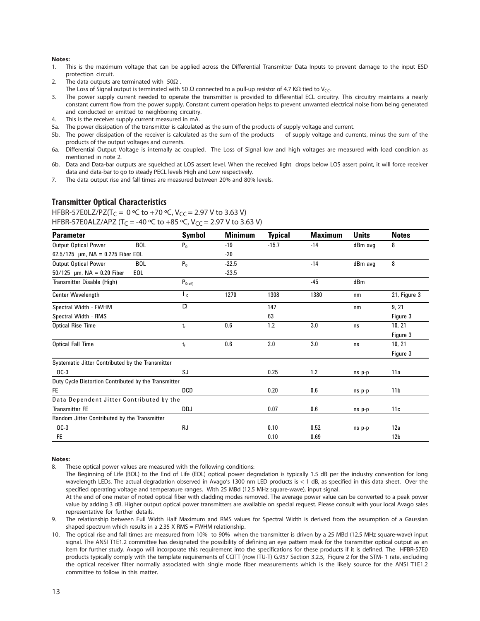#### **Notes:**

- 1. This is the maximum voltage that can be applied across the Differential Transmitter Data Inputs to prevent damage to the input ESD protection circuit.
- 2. The data outputs are terminated with  $50\Omega$ .
- The Loss of Signal output is terminated with 50  $\Omega$  connected to a pull-up resistor of 4.7 K $\Omega$  tied to V<sub>CC</sub>.
- 3. The power supply current needed to operate the transmitter is provided to differential ECL circuitry. This circuitry maintains a nearly constant current flow from the power supply. Constant current operation helps to prevent unwanted electrical noise from being generated and conducted or emitted to neighboring circuitry.
- 4. This is the receiver supply current measured in mA.
- 5a. The power dissipation of the transmitter is calculated as the sum of the products of supply voltage and current.
- 5b. The power dissipation of the receiver is calculated as the sum of the products of supply voltage and currents, minus the sum of the products of the output voltages and currents.
- 6a. Differential Output Voltage is internally ac coupled. The Loss of Signal low and high voltages are measured with load condition as mentioned in note 2.
- 6b. Data and Data-bar outputs are squelched at LOS assert level. When the received light drops below LOS assert point, it will force receiver data and data-bar to go to steady PECL levels High and Low respectively.
- 7. The data output rise and fall times are measured between 20% and 80% levels.

### **Transmitter Optical Characteristics**

HFBR-57E0LZ/PZ(T<sub>C</sub> = 0 °C to +70 °C, V<sub>CC</sub> = 2.97 V to 3.63 V) HFBR-57E0ALZ/APZ (T<sub>C</sub> = -40 °C to +85 °C, V<sub>CC</sub> = 2.97 V to 3.63 V)

| <b>Parameter</b>                                     |            | <b>Symbol</b>       | <b>Minimum</b> | <b>Typical</b> | <b>Maximum</b> | <b>Units</b> | <b>Notes</b>    |
|------------------------------------------------------|------------|---------------------|----------------|----------------|----------------|--------------|-----------------|
| <b>Output Optical Power</b>                          | <b>BOL</b> | $P_0$               | $-19$          | $-15.7$        | $-14$          | dBm avg      | 8               |
| 62.5/125 $\mu$ m, NA = 0.275 Fiber EOL               |            |                     | $-20$          |                |                |              |                 |
| <b>Output Optical Power</b>                          | <b>BOL</b> | $P_0$               | $-22.5$        |                | $-14$          | dBm avg      | 8               |
| $50/125$ µm, NA = 0.20 Fiber                         | EOL        |                     | $-23.5$        |                |                |              |                 |
| Transmitter Disable (High)                           |            | $P_{0(\text{off})}$ |                |                | -45            | dBm          |                 |
| <b>Center Wavelength</b>                             |            | $\mathsf{L}_c$      | 1270           | 1308           | 1380           | nm           | 21, Figure 3    |
| Spectral Width - FWHM                                |            | DI                  |                | 147            |                | nm           | 9, 21           |
| Spectral Width - RMS                                 |            |                     |                | 63             |                |              | Figure 3        |
| <b>Optical Rise Time</b>                             |            | $t_{r}$             | 0.6            | 1.2            | 3.0            | ns           | 10, 21          |
|                                                      |            |                     |                |                |                |              | Figure 3        |
| <b>Optical Fall Time</b>                             |            | $t_{f}$             | 0.6            | 2.0            | 3.0            | ns           | 10, 21          |
|                                                      |            |                     |                |                |                |              | Figure 3        |
| Systematic Jitter Contributed by the Transmitter     |            |                     |                |                |                |              |                 |
| $OC-3$                                               |            | SJ                  |                | 0.25           | 1.2            | ns p-p       | 11a             |
| Duty Cycle Distortion Contributed by the Transmitter |            |                     |                |                |                |              |                 |
| FE.                                                  |            | <b>DCD</b>          |                | 0.20           | 0.6            | ns p-p       | 11 <sub>b</sub> |
| Data Dependent Jitter Contributed by the             |            |                     |                |                |                |              |                 |
| <b>Transmitter FE</b>                                |            | <b>DDJ</b>          |                | 0.07           | 0.6            | ns p-p       | 11c             |
| Random Jitter Contributed by the Transmitter         |            |                     |                |                |                |              |                 |
| $OC-3$                                               |            | <b>RJ</b>           |                | 0.10           | 0.52           | ns p-p       | 12a             |
| FE                                                   |            |                     |                | 0.10           | 0.69           |              | 12 <sub>b</sub> |

#### **Notes:**

8. These optical power values are measured with the following conditions:

The Beginning of Life (BOL) to the End of Life (EOL) optical power degradation is typically 1.5 dB per the industry convention for long wavelength LEDs. The actual degradation observed in Avago's 1300 nm LED products is < 1 dB, as specified in this data sheet. Over the specified operating voltage and temperature ranges. With 25 MBd (12.5 MHz square-wave), input signal.

At the end of one meter of noted optical fiber with cladding modes removed. The average power value can be converted to a peak power value by adding 3 dB. Higher output optical power transmitters are available on special request. Please consult with your local Avago sales representative for further details.

9. The relationship between Full Width Half Maximum and RMS values for Spectral Width is derived from the assumption of a Gaussian shaped spectrum which results in a 2.35 X RMS = FWHM relationship.

10. The optical rise and fall times are measured from 10% to 90% when the transmitter is driven by a 25 MBd (12.5 MHz square-wave) input signal. The ANSI T1E1.2 committee has designated the possibility of defining an eye pattern mask for the transmitter optical output as an item for further study. Avago will incorporate this requirement into the specifications for these products if it is defined. The HFBR-57E0 products typically comply with the template requirements of CCITT (now ITU-T) G.957 Section 3.2.5, Figure 2 for the STM- 1 rate, excluding the optical receiver filter normally associated with single mode fiber measurements which is the likely source for the ANSI T1E1.2 committee to follow in this matter.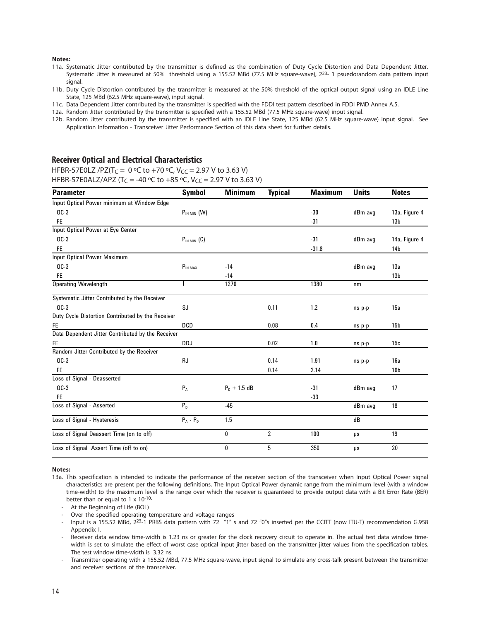#### **Notes:**

- 11a. Systematic Jitter contributed by the transmitter is defined as the combination of Duty Cycle Distortion and Data Dependent Jitter. Systematic Jitter is measured at 50% threshold using a 155.52 MBd (77.5 MHz square-wave), 223- 1 psuedorandom data pattern input signal.
- 11b. Duty Cycle Distortion contributed by the transmitter is measured at the 50% threshold of the optical output signal using an IDLE Line State, 125 MBd (62.5 MHz square-wave), input signal.
- 11c. Data Dependent Jitter contributed by the transmitter is specified with the FDDI test pattern described in FDDI PMD Annex A.5.
- 12a. Random Jitter contributed by the transmitter is specified with a 155.52 MBd (77.5 MHz square-wave) input signal.
- 12b. Random Jitter contributed by the transmitter is specified with an IDLE Line State, 125 MBd (62.5 MHz square-wave) input signal. See Application Information - Transceiver Jitter Performance Section of this data sheet for further details.

# **Receiver Optical and Electrical Characteristics**

HFBR-57E0LZ /PZ(T<sub>C</sub> = 0 °C to +70 °C, V<sub>CC</sub> = 2.97 V to 3.63 V) HFBR-57E0ALZ/APZ (T<sub>C</sub> = -40 °C to +85 °C, V<sub>CC</sub> = 2.97 V to 3.63 V)

| <b>Parameter</b>                                  | Symbol           | <b>Minimum</b>   | <b>Typical</b> | <b>Maximum</b> | <b>Units</b> | <b>Notes</b>    |
|---------------------------------------------------|------------------|------------------|----------------|----------------|--------------|-----------------|
| Input Optical Power minimum at Window Edge        |                  |                  |                |                |              |                 |
| $OC-3$                                            | $P_{IN MIN}$ (W) |                  |                | $-30$          | dBm avq      | 13a, Figure 4   |
| <b>FE</b>                                         |                  |                  |                | $-31$          |              | 13 <sub>b</sub> |
| Input Optical Power at Eye Center                 |                  |                  |                |                |              |                 |
| $OC-3$                                            | $P_{IN MIN}$ (C) |                  |                | $-31$          | dBm avq      | 14a, Figure 4   |
| <b>FE</b>                                         |                  |                  |                | $-31.8$        |              | 14b             |
| <b>Input Optical Power Maximum</b>                |                  |                  |                |                |              |                 |
| $OC-3$                                            | $P_{IN MAX}$     | $-14$            |                |                | dBm avg      | 13a             |
| <b>FE</b>                                         |                  | $-14$            |                |                |              | 13 <sub>b</sub> |
| <b>Operating Wavelength</b>                       |                  | 1270             |                | 1380           | nm           |                 |
| Systematic Jitter Contributed by the Receiver     |                  |                  |                |                |              |                 |
| $OC-3$                                            | SJ               |                  | 0.11           | 1.2            | ns p-p       | 15a             |
| Duty Cycle Distortion Contributed by the Receiver |                  |                  |                |                |              |                 |
| FE.                                               | <b>DCD</b>       |                  | 0.08           | 0.4            | ns p-p       | 15 <sub>b</sub> |
| Data Dependent Jitter Contributed by the Receiver |                  |                  |                |                |              |                 |
| FE.                                               | <b>DDJ</b>       |                  | 0.02           | 1.0            | ns p-p       | 15c             |
| Random Jitter Contributed by the Receiver         |                  |                  |                |                |              |                 |
| $OC-3$                                            | RJ               |                  | 0.14           | 1.91           | ns p-p       | 16a             |
| <b>FE</b>                                         |                  |                  | 0.14           | 2.14           |              | 16 <sub>b</sub> |
| Loss of Signal - Deasserted                       |                  |                  |                |                |              |                 |
| $OC-3$                                            | $P_A$            | $P_{D}$ + 1.5 dB |                | $-31$          | dBm avg      | 17              |
| <b>FE</b>                                         |                  |                  |                | $-33$          |              |                 |
| Loss of Signal - Asserted                         | P <sub>D</sub>   | $-45$            |                |                | dBm avq      | 18              |
| Loss of Signal - Hysteresis                       | $P_A - P_D$      | 1.5              |                |                | dB           |                 |
| Loss of Signal Deassert Time (on to off)          |                  | 0                | $\overline{2}$ | 100            | μs           | 19              |
| Loss of Signal Assert Time (off to on)            |                  | 0                | 5              | 350            | μs           | 20              |

#### **Notes:**

- 13a. This specification is intended to indicate the performance of the receiver section of the transceiver when Input Optical Power signal characteristics are present per the following definitions. The Input Optical Power dynamic range from the minimum level (with a window time-width) to the maximum level is the range over which the receiver is guaranteed to provide output data with a Bit Error Rate (BER) better than or equal to 1 x 10-10.
	- At the Beginning of Life (BOL)
	- Over the specified operating temperature and voltage ranges
	- Input is a 155.52 MBd, 2<sup>23</sup>-1 PRBS data pattern with 72 "1" s and 72 "0"s inserted per the CCITT (now ITU-T) recommendation G.958 Appendix I.
	- Receiver data window time-width is 1.23 ns or greater for the clock recovery circuit to operate in. The actual test data window timewidth is set to simulate the effect of worst case optical input jitter based on the transmitter jitter values from the specification tables. The test window time-width is 3.32 ns.
	- Transmitter operating with a 155.52 MBd, 77.5 MHz square-wave, input signal to simulate any cross-talk present between the transmitter and receiver sections of the transceiver.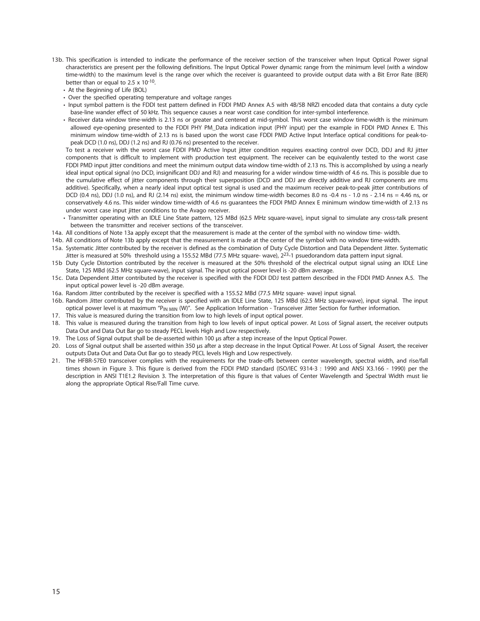- 13b. This specification is intended to indicate the performance of the receiver section of the transceiver when Input Optical Power signal characteristics are present per the following definitions. The Input Optical Power dynamic range from the minimum level (with a window time-width) to the maximum level is the range over which the receiver is guaranteed to provide output data with a Bit Error Rate (BER) better than or equal to 2.5 x 10-10.
	- At the Beginning of Life (BOL)
	- Over the specified operating temperature and voltage ranges
	- Input symbol pattern is the FDDI test pattern defined in FDDI PMD Annex A.5 with 4B/5B NRZI encoded data that contains a duty cycle base-line wander effect of 50 kHz. This sequence causes a near worst case condition for inter-symbol interference.
	- Receiver data window time-width is 2.13 ns or greater and centered at mid-symbol. This worst case window time-width is the minimum allowed eye-opening presented to the FDDI PHY PM\_Data indication input (PHY input) per the example in FDDI PMD Annex E. This minimum window time-width of 2.13 ns is based upon the worst case FDDI PMD Active Input Interface optical conditions for peak-topeak DCD (1.0 ns), DDJ (1.2 ns) and RJ (0.76 ns) presented to the receiver.

To test a receiver with the worst case FDDI PMD Active Input jitter condition requires exacting control over DCD, DDJ and RJ jitter components that is difficult to implement with production test equipment. The receiver can be equivalently tested to the worst case FDDI PMD input jitter conditions and meet the minimum output data window time-width of 2.13 ns. This is accomplished by using a nearly ideal input optical signal (no DCD, insignificant DDJ and RJ) and measuring for a wider window time-width of 4.6 ns. This is possible due to the cumulative effect of jitter components through their superposition (DCD and DDJ are directly additive and RJ components are rms additive). Specifically, when a nearly ideal input optical test signal is used and the maximum receiver peak-to-peak jitter contributions of DCD (0.4 ns), DDJ (1.0 ns), and RJ (2.14 ns) exist, the minimum window time-width becomes 8.0 ns -0.4 ns - 1.0 ns - 2.14 ns = 4.46 ns, or conservatively 4.6 ns. This wider window time-width of 4.6 ns guarantees the FDDI PMD Annex E minimum window time-width of 2.13 ns under worst case input jitter conditions to the Avago receiver.

- Transmitter operating with an IDLE Line State pattern, 125 MBd (62.5 MHz square-wave), input signal to simulate any cross-talk present between the transmitter and receiver sections of the transceiver.
- 14a. All conditions of Note 13a apply except that the measurement is made at the center of the symbol with no window time- width.
- 14b. All conditions of Note 13b apply except that the measurement is made at the center of the symbol with no window time-width.
- 15a. Systematic Jitter contributed by the receiver is defined as the combination of Duty Cycle Distortion and Data Dependent Jitter. Systematic Jitter is measured at 50% threshold using a 155.52 MBd (77.5 MHz square- wave), 2<sup>23</sup>-1 psuedorandom data pattern input signal.
- 15b Duty Cycle Distortion contributed by the receiver is measured at the 50% threshold of the electrical output signal using an IDLE Line State, 125 MBd (62.5 MHz square-wave), input signal. The input optical power level is -20 dBm average.
- 15c. Data Dependent Jitter contributed by the receiver is specified with the FDDI DDJ test pattern described in the FDDI PMD Annex A.5. The input optical power level is -20 dBm average.
- 16a. Random Jitter contributed by the receiver is specified with a 155.52 MBd (77.5 MHz square- wave) input signal.
- 16b. Random Jitter contributed by the receiver is specified with an IDLE Line State, 125 MBd (62.5 MHz square-wave), input signal. The input optical power level is at maximum "P<sub>IN MIN</sub> (W)". See Application Information - Transceiver Jitter Section for further information.
- 17. This value is measured during the transition from low to high levels of input optical power.
- 18. This value is measured during the transition from high to low levels of input optical power. At Loss of Signal assert, the receiver outputs Data Out and Data Out Bar go to steady PECL levels High and Low respectively.
- 19. The Loss of Signal output shall be de-asserted within 100 µs after a step increase of the Input Optical Power.
- 20. Loss of Signal output shall be asserted within 350 µs after a step decrease in the Input Optical Power. At Loss of Signal Assert, the receiver outputs Data Out and Data Out Bar go to steady PECL levels High and Low respectively.
- 21. The HFBR-57E0 transceiver complies with the requirements for the trade-offs between center wavelength, spectral width, and rise/fall times shown in Figure 3. This figure is derived from the FDDI PMD standard (ISO/IEC 9314-3 : 1990 and ANSI X3.166 - 1990) per the description in ANSI T1E1.2 Revision 3. The interpretation of this figure is that values of Center Wavelength and Spectral Width must lie along the appropriate Optical Rise/Fall Time curve.